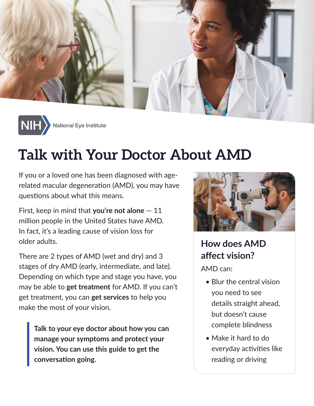



# **Talk with Your Doctor About AMD**

If you or a loved one has been diagnosed with agerelated macular degeneration (AMD), you may have questions about what this means.

First, keep in mind that **you're not alone** — 11 million people in the United States have AMD. In fact, it's a leading cause of vision loss for older adults.

There are 2 types of AMD (wet and dry) and 3 stages of dry AMD (early, intermediate, and late). Depending on which type and stage you have, you may be able to **get treatment** for AMD. If you can't get treatment, you can **get services** to help you make the most of your vision.

**Talk to your eye doctor about how you can manage your symptoms and protect your vision. You can use this guide to get the conversation going.**



### **How does AMD affect vision?**

AMD can:

- Blur the central vision you need to see details straight ahead, but doesn't cause complete blindness
- Make it hard to do everyday activities like reading or driving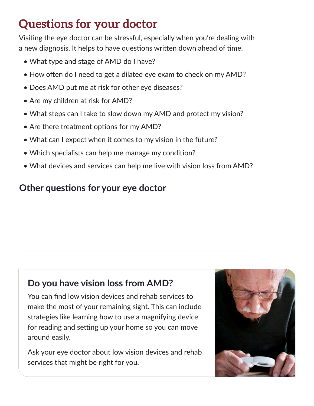## **Questions for your doctor**

Visiting the eye doctor can be stressful, especially when you're dealing with a new diagnosis. It helps to have questions written down ahead of time.

- What type and stage of AMD do I have?
- How often do I need to get a dilated eye exam to check on my AMD?
- Does AMD put me at risk for other eye diseases?
- Are my children at risk for AMD?
- What steps can I take to slow down my AMD and protect my vision?
- Are there treatment options for my AMD?
- What can I expect when it comes to my vision in the future?
- Which specialists can help me manage my condition?
- What devices and services can help me live with vision loss from AMD?

#### **Other questions for your eye doctor**

#### **Do you have vision loss from AMD?**

You can find low vision devices and rehab services to make the most of your remaining sight. This can include strategies like learning how to use a magnifying device for reading and setting up your home so you can move around easily.

Ask your eye doctor about low vision devices and rehab services that might be right for you.